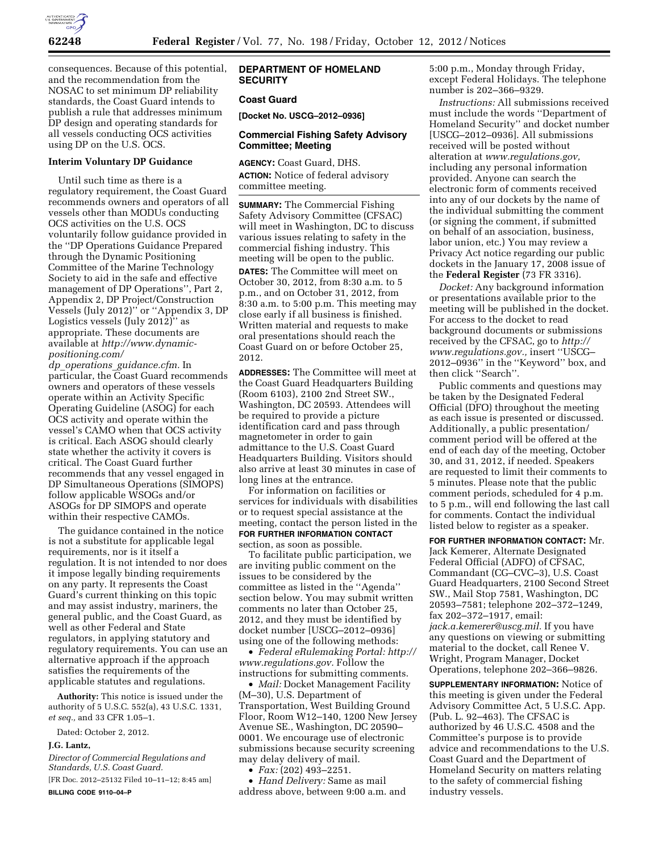

consequences. Because of this potential, and the recommendation from the NOSAC to set minimum DP reliability standards, the Coast Guard intends to publish a rule that addresses minimum DP design and operating standards for all vessels conducting OCS activities using DP on the U.S. OCS.

## **Interim Voluntary DP Guidance**

Until such time as there is a regulatory requirement, the Coast Guard recommends owners and operators of all vessels other than MODUs conducting OCS activities on the U.S. OCS voluntarily follow guidance provided in the ''DP Operations Guidance Prepared through the Dynamic Positioning Committee of the Marine Technology Society to aid in the safe and effective management of DP Operations'', Part 2, Appendix 2, DP Project/Construction Vessels (July 2012)'' or ''Appendix 3, DP Logistics vessels (July 2012)'' as appropriate. These documents are available at *[http://www.dynamic](http://www.dynamic-positioning.com/dp_operations_guidance.cfm)[positioning.com/](http://www.dynamic-positioning.com/dp_operations_guidance.cfm)* 

*dp*\_*operations*\_*[guidance.cfm.](http://www.dynamic-positioning.com/dp_operations_guidance.cfm)* In particular, the Coast Guard recommends owners and operators of these vessels operate within an Activity Specific Operating Guideline (ASOG) for each OCS activity and operate within the vessel's CAMO when that OCS activity is critical. Each ASOG should clearly state whether the activity it covers is critical. The Coast Guard further recommends that any vessel engaged in DP Simultaneous Operations (SIMOPS) follow applicable WSOGs and/or ASOGs for DP SIMOPS and operate within their respective CAMOs.

The guidance contained in the notice is not a substitute for applicable legal requirements, nor is it itself a regulation. It is not intended to nor does it impose legally binding requirements on any party. It represents the Coast Guard's current thinking on this topic and may assist industry, mariners, the general public, and the Coast Guard, as well as other Federal and State regulators, in applying statutory and regulatory requirements. You can use an alternative approach if the approach satisfies the requirements of the applicable statutes and regulations.

**Authority:** This notice is issued under the authority of 5 U.S.C. 552(a), 43 U.S.C. 1331, *et seq.,* and 33 CFR 1.05–1.

Dated: October 2, 2012.

# **J.G. Lantz,**

*Director of Commercial Regulations and Standards, U.S. Coast Guard.*  [FR Doc. 2012–25132 Filed 10–11–12; 8:45 am]

**BILLING CODE 9110–04–P** 

## **DEPARTMENT OF HOMELAND SECURITY**

## **Coast Guard**

**[Docket No. USCG–2012–0936]** 

## **Commercial Fishing Safety Advisory Committee; Meeting**

**AGENCY:** Coast Guard, DHS. **ACTION:** Notice of federal advisory committee meeting.

**SUMMARY:** The Commercial Fishing Safety Advisory Committee (CFSAC) will meet in Washington, DC to discuss various issues relating to safety in the commercial fishing industry. This meeting will be open to the public. **DATES:** The Committee will meet on October 30, 2012, from 8:30 a.m. to 5 p.m., and on October 31, 2012, from 8:30 a.m. to 5:00 p.m. This meeting may close early if all business is finished. Written material and requests to make oral presentations should reach the Coast Guard on or before October 25, 2012.

**ADDRESSES:** The Committee will meet at the Coast Guard Headquarters Building (Room 6103), 2100 2nd Street SW., Washington, DC 20593. Attendees will be required to provide a picture identification card and pass through magnetometer in order to gain admittance to the U.S. Coast Guard Headquarters Building. Visitors should also arrive at least 30 minutes in case of long lines at the entrance.

For information on facilities or services for individuals with disabilities or to request special assistance at the meeting, contact the person listed in the **FOR FURTHER INFORMATION CONTACT** section, as soon as possible.

To facilitate public participation, we are inviting public comment on the issues to be considered by the committee as listed in the ''Agenda'' section below. You may submit written comments no later than October 25, 2012, and they must be identified by docket number [USCG–2012–0936] using one of the following methods:

• *Federal eRulemaking Portal: [http://](http://www.regulations.gov)  [www.regulations.gov.](http://www.regulations.gov)* Follow the instructions for submitting comments.

• *Mail:* Docket Management Facility (M–30), U.S. Department of Transportation, West Building Ground Floor, Room W12–140, 1200 New Jersey Avenue SE., Washington, DC 20590– 0001. We encourage use of electronic submissions because security screening may delay delivery of mail.

• *Fax:* (202) 493–2251.

• *Hand Delivery:* Same as mail address above, between 9:00 a.m. and 5:00 p.m., Monday through Friday, except Federal Holidays. The telephone number is 202–366–9329.

*Instructions:* All submissions received must include the words ''Department of Homeland Security'' and docket number [USCG–2012–0936]. All submissions received will be posted without alteration at *[www.regulations.gov,](http://www.regulations.gov)*  including any personal information provided. Anyone can search the electronic form of comments received into any of our dockets by the name of the individual submitting the comment (or signing the comment, if submitted on behalf of an association, business, labor union, etc.) You may review a Privacy Act notice regarding our public dockets in the January 17, 2008 issue of the **Federal Register** (73 FR 3316).

*Docket:* Any background information or presentations available prior to the meeting will be published in the docket. For access to the docket to read background documents or submissions received by the CFSAC, go to *[http://](http://www.regulations.gov) [www.regulations.gov.,](http://www.regulations.gov)* insert ''USCG– 2012–0936'' in the ''Keyword'' box, and then click ''Search''.

Public comments and questions may be taken by the Designated Federal Official (DFO) throughout the meeting as each issue is presented or discussed. Additionally, a public presentation/ comment period will be offered at the end of each day of the meeting, October 30, and 31, 2012, if needed. Speakers are requested to limit their comments to 5 minutes. Please note that the public comment periods, scheduled for 4 p.m. to 5 p.m., will end following the last call for comments. Contact the individual listed below to register as a speaker.

**FOR FURTHER INFORMATION CONTACT:** Mr. Jack Kemerer, Alternate Designated Federal Official (ADFO) of CFSAC, Commandant (CG–CVC–3), U.S. Coast Guard Headquarters, 2100 Second Street SW., Mail Stop 7581, Washington, DC 20593–7581; telephone 202–372–1249, fax 202–372–1917, email: *[jack.a.kemerer@uscg.mil.](mailto:jack.a.kemerer@uscg.mil)* If you have any questions on viewing or submitting material to the docket, call Renee V. Wright, Program Manager, Docket Operations, telephone 202–366–9826.

**SUPPLEMENTARY INFORMATION:** Notice of this meeting is given under the Federal Advisory Committee Act, 5 U.S.C. App. (Pub. L. 92–463). The CFSAC is authorized by 46 U.S.C. 4508 and the Committee's purpose is to provide advice and recommendations to the U.S. Coast Guard and the Department of Homeland Security on matters relating to the safety of commercial fishing industry vessels.